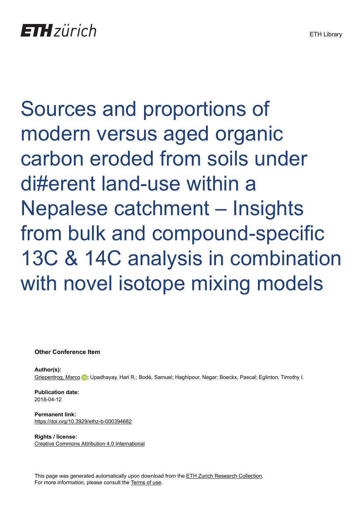Sources and proportions of modern versus aged organic carbon eroded from soils under di#erent land-use within a Nepalese catchment – Insights from bulk and compound-specific 13C & 14C analysis in combination with novel isotope mixing models

**Other Conference Item**

**Author(s):** [Griepentrog, Marco](https://orcid.org/0000-0002-9452-9903) (D; Upadhayay, Hari R.; Bodé, Samuel; Haghipour, Negar; Boeckx, Pascal; Eglinton, Timothy I.

**Publication date:** 2018-04-12

**Permanent link:** <https://doi.org/10.3929/ethz-b-000394682>

**Rights / license:** [Creative Commons Attribution 4.0 International](http://creativecommons.org/licenses/by/4.0/)

This page was generated automatically upon download from the [ETH Zurich Research Collection.](https://www.research-collection.ethz.ch) For more information, please consult the [Terms of use](https://www.research-collection.ethz.ch/terms-of-use).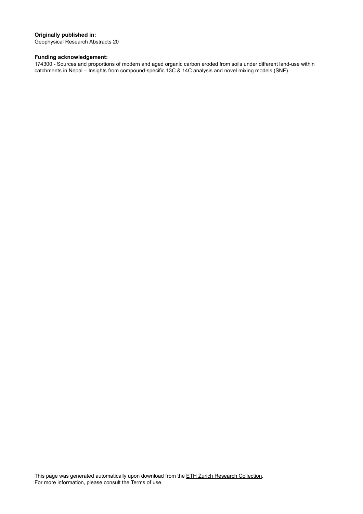## **Originally published in:**

Geophysical Research Abstracts 20

## **Funding acknowledgement:**

174300 - Sources and proportions of modern and aged organic carbon eroded from soils under different land-use within catchments in Nepal – Insights from compound-specific 13C & 14C analysis and novel mixing models (SNF)